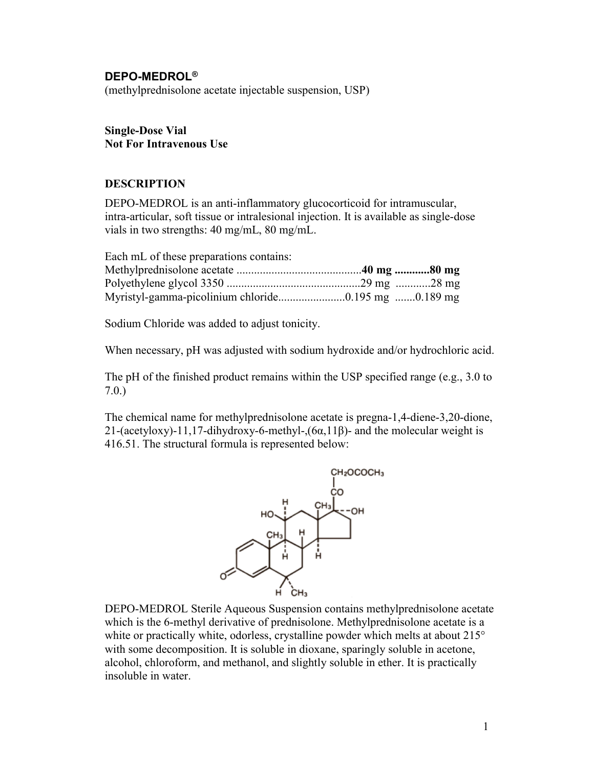### **DEPO-MEDROL®**

(methylprednisolone acetate injectable suspension, USP)

## **Single-Dose Vial Not For Intravenous Use**

#### **DESCRIPTION**

DEPO-MEDROL is an anti-inflammatory glucocorticoid for intramuscular, intra-articular, soft tissue or intralesional injection. It is available as single-dose vials in two strengths: 40 mg/mL, 80 mg/mL.

| Each mL of these preparations contains: |  |
|-----------------------------------------|--|
|                                         |  |
|                                         |  |
|                                         |  |

Sodium Chloride was added to adjust tonicity.

When necessary, pH was adjusted with sodium hydroxide and/or hydrochloric acid.

The pH of the finished product remains within the USP specified range (e.g., 3.0 to 7.0.)

The chemical name for methylprednisolone acetate is pregna-1,4-diene-3,20-dione, 21-(acetyloxy)-11,17-dihydroxy-6-methyl-,( $6\alpha$ ,11 $\beta$ )- and the molecular weight is 416.51. The structural formula is represented below:



DEPO-MEDROL Sterile Aqueous Suspension contains methylprednisolone acetate which is the 6-methyl derivative of prednisolone. Methylprednisolone acetate is a white or practically white, odorless, crystalline powder which melts at about 215° with some decomposition. It is soluble in dioxane, sparingly soluble in acetone, alcohol, chloroform, and methanol, and slightly soluble in ether. It is practically insoluble in water.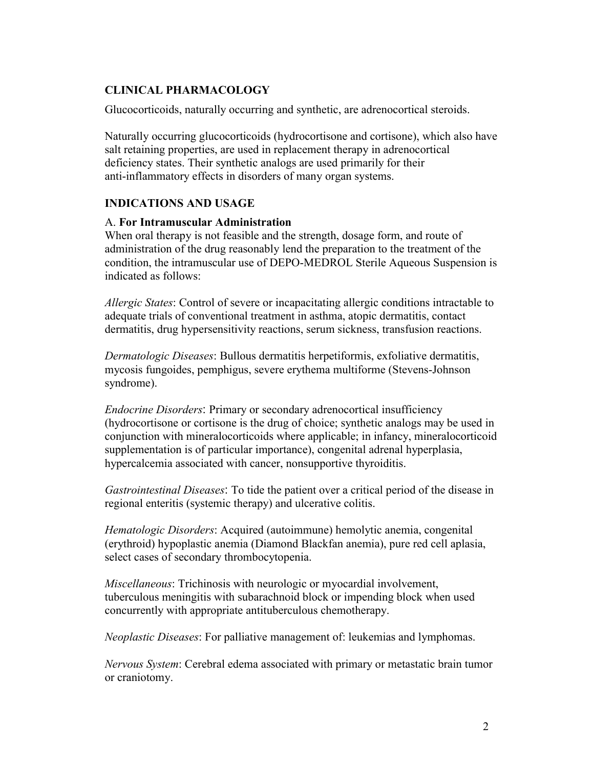## **CLINICAL PHARMACOLOGY**

Glucocorticoids, naturally occurring and synthetic, are adrenocortical steroids.

Naturally occurring glucocorticoids (hydrocortisone and cortisone), which also have salt retaining properties, are used in replacement therapy in adrenocortical deficiency states. Their synthetic analogs are used primarily for their anti-inflammatory effects in disorders of many organ systems.

# **INDICATIONS AND USAGE**

## A. **For Intramuscular Administration**

When oral therapy is not feasible and the strength, dosage form, and route of administration of the drug reasonably lend the preparation to the treatment of the condition, the intramuscular use of DEPO-MEDROL Sterile Aqueous Suspension is indicated as follows:

*Allergic States*: Control of severe or incapacitating allergic conditions intractable to adequate trials of conventional treatment in asthma, atopic dermatitis, contact dermatitis, drug hypersensitivity reactions, serum sickness, transfusion reactions.

*Dermatologic Diseases*: Bullous dermatitis herpetiformis, exfoliative dermatitis, mycosis fungoides, pemphigus, severe erythema multiforme (Stevens-Johnson syndrome).

*Endocrine Disorders*: Primary or secondary adrenocortical insufficiency (hydrocortisone or cortisone is the drug of choice; synthetic analogs may be used in conjunction with mineralocorticoids where applicable; in infancy, mineralocorticoid supplementation is of particular importance), congenital adrenal hyperplasia, hypercalcemia associated with cancer, nonsupportive thyroiditis.

*Gastrointestinal Diseases*: To tide the patient over a critical period of the disease in regional enteritis (systemic therapy) and ulcerative colitis.

*Hematologic Disorders*: Acquired (autoimmune) hemolytic anemia, congenital (erythroid) hypoplastic anemia (Diamond Blackfan anemia), pure red cell aplasia, select cases of secondary thrombocytopenia.

*Miscellaneous*: Trichinosis with neurologic or myocardial involvement, tuberculous meningitis with subarachnoid block or impending block when used concurrently with appropriate antituberculous chemotherapy.

*Neoplastic Diseases*: For palliative management of: leukemias and lymphomas.

*Nervous System*: Cerebral edema associated with primary or metastatic brain tumor or craniotomy.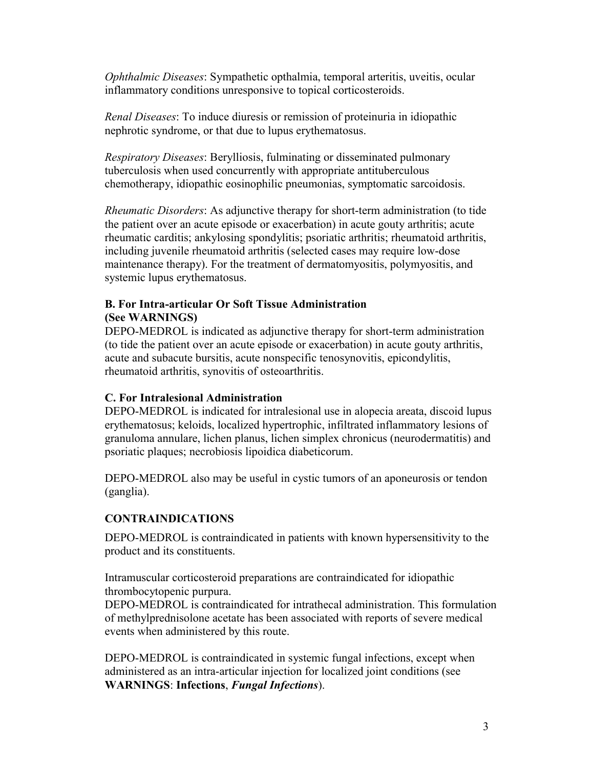*Ophthalmic Diseases*: Sympathetic opthalmia, temporal arteritis, uveitis, ocular inflammatory conditions unresponsive to topical corticosteroids.

*Renal Diseases*: To induce diuresis or remission of proteinuria in idiopathic nephrotic syndrome, or that due to lupus erythematosus.

*Respiratory Diseases*: Berylliosis, fulminating or disseminated pulmonary tuberculosis when used concurrently with appropriate antituberculous chemotherapy, idiopathic eosinophilic pneumonias, symptomatic sarcoidosis.

*Rheumatic Disorders*: As adjunctive therapy for short-term administration (to tide the patient over an acute episode or exacerbation) in acute gouty arthritis; acute rheumatic carditis; ankylosing spondylitis; psoriatic arthritis; rheumatoid arthritis, including juvenile rheumatoid arthritis (selected cases may require low-dose maintenance therapy). For the treatment of dermatomyositis, polymyositis, and systemic lupus erythematosus.

## **B. For Intra-articular Or Soft Tissue Administration (See WARNINGS)**

DEPO-MEDROL is indicated as adjunctive therapy for short-term administration (to tide the patient over an acute episode or exacerbation) in acute gouty arthritis, acute and subacute bursitis, acute nonspecific tenosynovitis, epicondylitis, rheumatoid arthritis, synovitis of osteoarthritis.

## **C. For Intralesional Administration**

DEPO-MEDROL is indicated for intralesional use in alopecia areata, discoid lupus erythematosus; keloids, localized hypertrophic, infiltrated inflammatory lesions of granuloma annulare, lichen planus, lichen simplex chronicus (neurodermatitis) and psoriatic plaques; necrobiosis lipoidica diabeticorum.

DEPO-MEDROL also may be useful in cystic tumors of an aponeurosis or tendon (ganglia).

## **CONTRAINDICATIONS**

DEPO-MEDROL is contraindicated in patients with known hypersensitivity to the product and its constituents.

Intramuscular corticosteroid preparations are contraindicated for idiopathic thrombocytopenic purpura.

DEPO-MEDROL is contraindicated for intrathecal administration. This formulation of methylprednisolone acetate has been associated with reports of severe medical events when administered by this route.

DEPO-MEDROL is contraindicated in systemic fungal infections, except when administered as an intra-articular injection for localized joint conditions (see **WARNINGS**: **Infections**, *Fungal Infections*).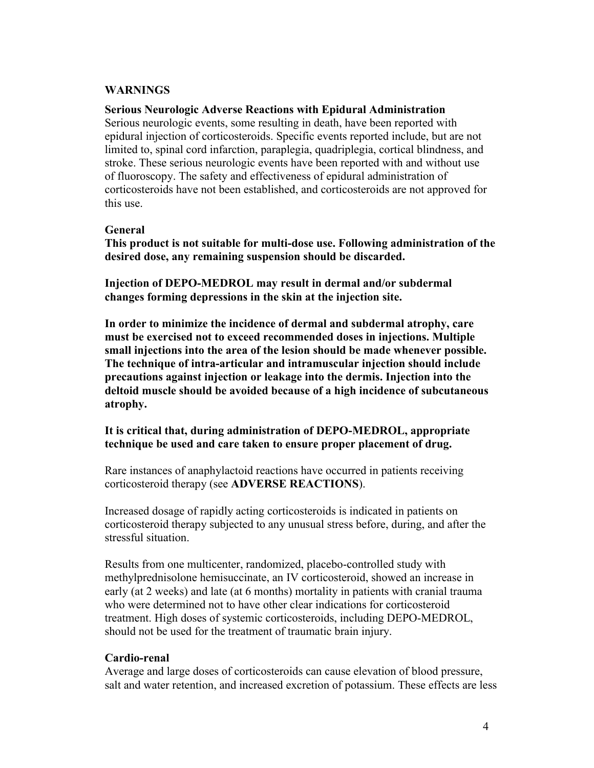### **WARNINGS**

#### **Serious Neurologic Adverse Reactions with Epidural Administration**

Serious neurologic events, some resulting in death, have been reported with epidural injection of corticosteroids. Specific events reported include, but are not limited to, spinal cord infarction, paraplegia, quadriplegia, cortical blindness, and stroke. These serious neurologic events have been reported with and without use of fluoroscopy. The safety and effectiveness of epidural administration of corticosteroids have not been established, and corticosteroids are not approved for this use.

#### **General**

**This product is not suitable for multi-dose use. Following administration of the desired dose, any remaining suspension should be discarded.**

**Injection of DEPO-MEDROL may result in dermal and/or subdermal changes forming depressions in the skin at the injection site.**

**In order to minimize the incidence of dermal and subdermal atrophy, care must be exercised not to exceed recommended doses in injections. Multiple small injections into the area of the lesion should be made whenever possible. The technique of intra-articular and intramuscular injection should include precautions against injection or leakage into the dermis. Injection into the deltoid muscle should be avoided because of a high incidence of subcutaneous atrophy.**

### **It is critical that, during administration of DEPO-MEDROL, appropriate technique be used and care taken to ensure proper placement of drug.**

Rare instances of anaphylactoid reactions have occurred in patients receiving corticosteroid therapy (see **ADVERSE REACTIONS**).

Increased dosage of rapidly acting corticosteroids is indicated in patients on corticosteroid therapy subjected to any unusual stress before, during, and after the stressful situation.

Results from one multicenter, randomized, placebo-controlled study with methylprednisolone hemisuccinate, an IV corticosteroid, showed an increase in early (at 2 weeks) and late (at 6 months) mortality in patients with cranial trauma who were determined not to have other clear indications for corticosteroid treatment. High doses of systemic corticosteroids, including DEPO-MEDROL, should not be used for the treatment of traumatic brain injury.

#### **Cardio-renal**

Average and large doses of corticosteroids can cause elevation of blood pressure, salt and water retention, and increased excretion of potassium. These effects are less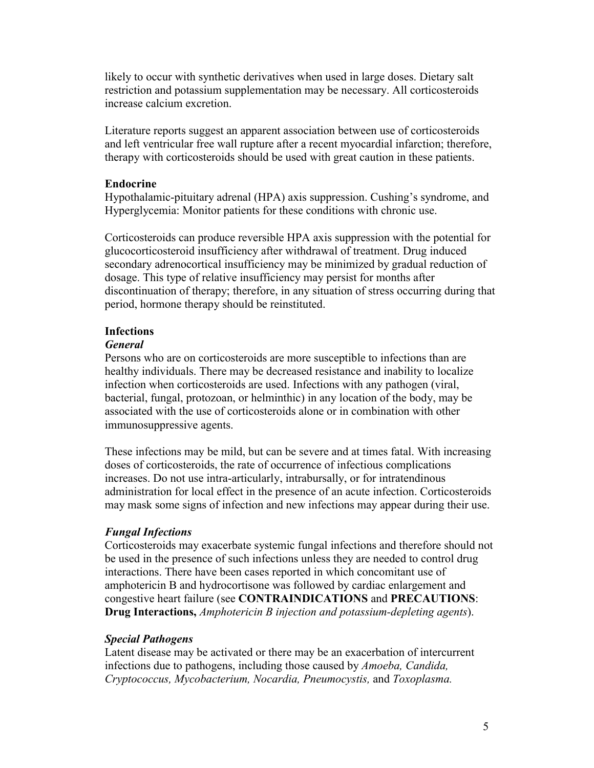likely to occur with synthetic derivatives when used in large doses. Dietary salt restriction and potassium supplementation may be necessary. All corticosteroids increase calcium excretion.

Literature reports suggest an apparent association between use of corticosteroids and left ventricular free wall rupture after a recent myocardial infarction; therefore, therapy with corticosteroids should be used with great caution in these patients.

#### **Endocrine**

Hypothalamic-pituitary adrenal (HPA) axis suppression. Cushing's syndrome, and Hyperglycemia: Monitor patients for these conditions with chronic use.

Corticosteroids can produce reversible HPA axis suppression with the potential for glucocorticosteroid insufficiency after withdrawal of treatment. Drug induced secondary adrenocortical insufficiency may be minimized by gradual reduction of dosage. This type of relative insufficiency may persist for months after discontinuation of therapy; therefore, in any situation of stress occurring during that period, hormone therapy should be reinstituted.

## **Infections**

### *General*

Persons who are on corticosteroids are more susceptible to infections than are healthy individuals. There may be decreased resistance and inability to localize infection when corticosteroids are used. Infections with any pathogen (viral, bacterial, fungal, protozoan, or helminthic) in any location of the body, may be associated with the use of corticosteroids alone or in combination with other immunosuppressive agents.

These infections may be mild, but can be severe and at times fatal. With increasing doses of corticosteroids, the rate of occurrence of infectious complications increases. Do not use intra-articularly, intrabursally, or for intratendinous administration for local effect in the presence of an acute infection. Corticosteroids may mask some signs of infection and new infections may appear during their use.

### *Fungal Infections*

Corticosteroids may exacerbate systemic fungal infections and therefore should not be used in the presence of such infections unless they are needed to control drug interactions. There have been cases reported in which concomitant use of amphotericin B and hydrocortisone was followed by cardiac enlargement and congestive heart failure (see **CONTRAINDICATIONS** and **PRECAUTIONS**: **Drug Interactions,** *Amphotericin B injection and potassium-depleting agents*).

### *Special Pathogens*

Latent disease may be activated or there may be an exacerbation of intercurrent infections due to pathogens, including those caused by *Amoeba, Candida, Cryptococcus, Mycobacterium, Nocardia, Pneumocystis,* and *Toxoplasma.*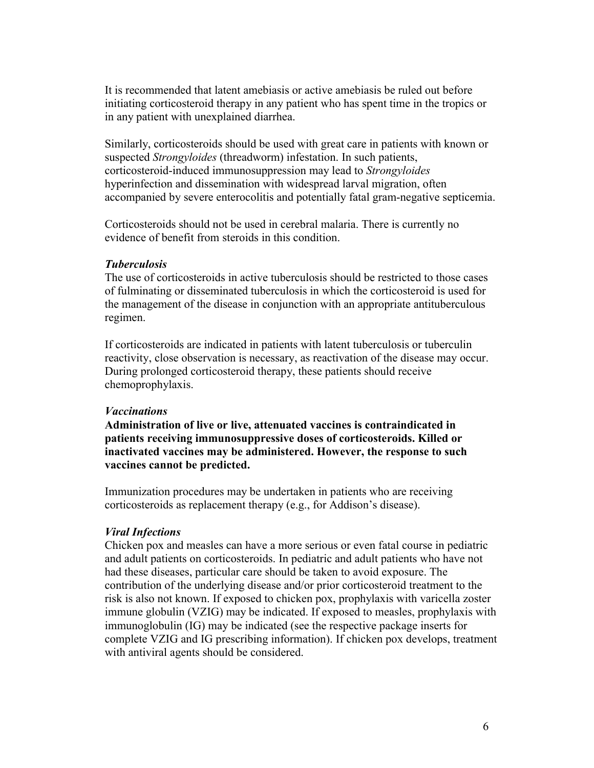It is recommended that latent amebiasis or active amebiasis be ruled out before initiating corticosteroid therapy in any patient who has spent time in the tropics or in any patient with unexplained diarrhea.

Similarly, corticosteroids should be used with great care in patients with known or suspected *Strongyloides* (threadworm) infestation. In such patients, corticosteroid-induced immunosuppression may lead to *Strongyloides*  hyperinfection and dissemination with widespread larval migration, often accompanied by severe enterocolitis and potentially fatal gram-negative septicemia.

Corticosteroids should not be used in cerebral malaria. There is currently no evidence of benefit from steroids in this condition.

#### *Tuberculosis*

The use of corticosteroids in active tuberculosis should be restricted to those cases of fulminating or disseminated tuberculosis in which the corticosteroid is used for the management of the disease in conjunction with an appropriate antituberculous regimen.

If corticosteroids are indicated in patients with latent tuberculosis or tuberculin reactivity, close observation is necessary, as reactivation of the disease may occur. During prolonged corticosteroid therapy, these patients should receive chemoprophylaxis.

#### *Vaccinations*

**Administration of live or live, attenuated vaccines is contraindicated in patients receiving immunosuppressive doses of corticosteroids. Killed or inactivated vaccines may be administered. However, the response to such vaccines cannot be predicted.** 

Immunization procedures may be undertaken in patients who are receiving corticosteroids as replacement therapy (e.g., for Addison's disease).

### *Viral Infections*

Chicken pox and measles can have a more serious or even fatal course in pediatric and adult patients on corticosteroids. In pediatric and adult patients who have not had these diseases, particular care should be taken to avoid exposure. The contribution of the underlying disease and/or prior corticosteroid treatment to the risk is also not known. If exposed to chicken pox, prophylaxis with varicella zoster immune globulin (VZIG) may be indicated. If exposed to measles, prophylaxis with immunoglobulin (IG) may be indicated (see the respective package inserts for complete VZIG and IG prescribing information). If chicken pox develops, treatment with antiviral agents should be considered.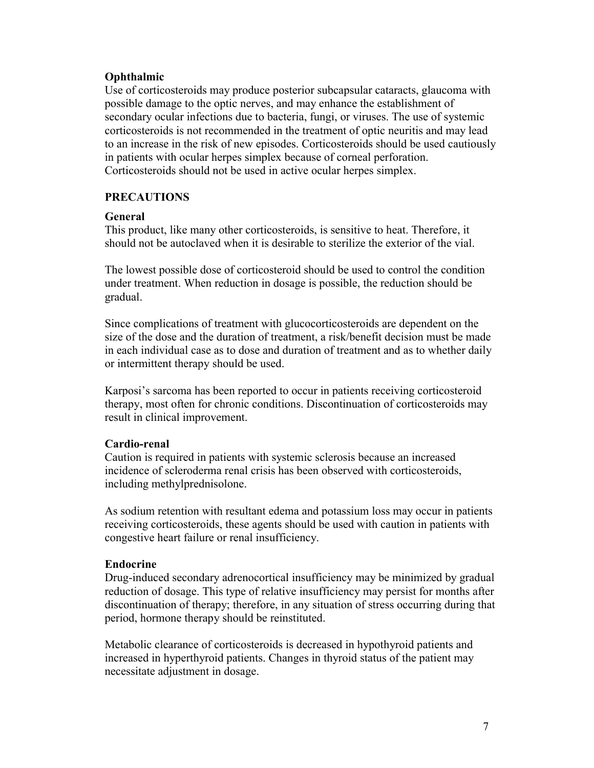## **Ophthalmic**

Use of corticosteroids may produce posterior subcapsular cataracts, glaucoma with possible damage to the optic nerves, and may enhance the establishment of secondary ocular infections due to bacteria, fungi, or viruses. The use of systemic corticosteroids is not recommended in the treatment of optic neuritis and may lead to an increase in the risk of new episodes. Corticosteroids should be used cautiously in patients with ocular herpes simplex because of corneal perforation. Corticosteroids should not be used in active ocular herpes simplex.

### **PRECAUTIONS**

### **General**

This product, like many other corticosteroids, is sensitive to heat. Therefore, it should not be autoclaved when it is desirable to sterilize the exterior of the vial.

The lowest possible dose of corticosteroid should be used to control the condition under treatment. When reduction in dosage is possible, the reduction should be gradual.

Since complications of treatment with glucocorticosteroids are dependent on the size of the dose and the duration of treatment, a risk/benefit decision must be made in each individual case as to dose and duration of treatment and as to whether daily or intermittent therapy should be used.

Karposi's sarcoma has been reported to occur in patients receiving corticosteroid therapy, most often for chronic conditions. Discontinuation of corticosteroids may result in clinical improvement.

### **Cardio-renal**

Caution is required in patients with systemic sclerosis because an increased incidence of scleroderma renal crisis has been observed with corticosteroids, including methylprednisolone.

As sodium retention with resultant edema and potassium loss may occur in patients receiving corticosteroids, these agents should be used with caution in patients with congestive heart failure or renal insufficiency.

### **Endocrine**

Drug-induced secondary adrenocortical insufficiency may be minimized by gradual reduction of dosage. This type of relative insufficiency may persist for months after discontinuation of therapy; therefore, in any situation of stress occurring during that period, hormone therapy should be reinstituted.

Metabolic clearance of corticosteroids is decreased in hypothyroid patients and increased in hyperthyroid patients. Changes in thyroid status of the patient may necessitate adjustment in dosage.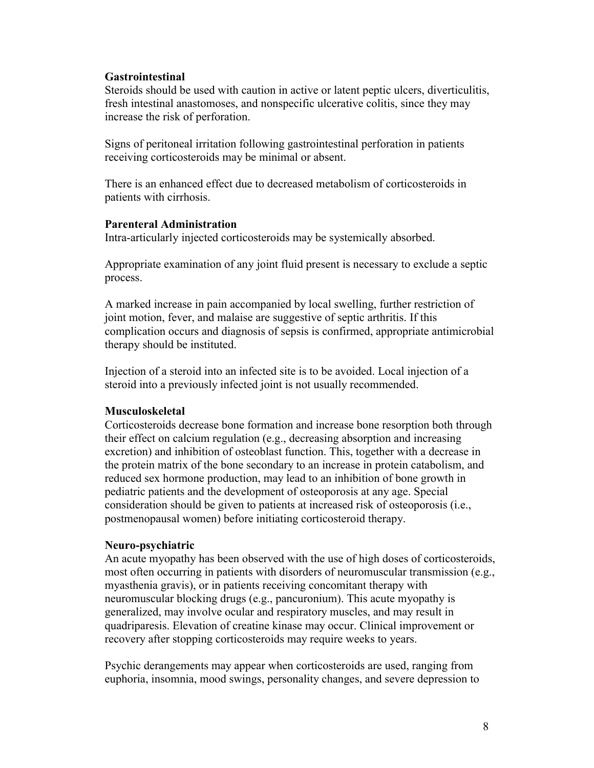#### **Gastrointestinal**

Steroids should be used with caution in active or latent peptic ulcers, diverticulitis, fresh intestinal anastomoses, and nonspecific ulcerative colitis, since they may increase the risk of perforation.

Signs of peritoneal irritation following gastrointestinal perforation in patients receiving corticosteroids may be minimal or absent.

There is an enhanced effect due to decreased metabolism of corticosteroids in patients with cirrhosis.

#### **Parenteral Administration**

Intra-articularly injected corticosteroids may be systemically absorbed.

Appropriate examination of any joint fluid present is necessary to exclude a septic process.

A marked increase in pain accompanied by local swelling, further restriction of joint motion, fever, and malaise are suggestive of septic arthritis. If this complication occurs and diagnosis of sepsis is confirmed, appropriate antimicrobial therapy should be instituted.

Injection of a steroid into an infected site is to be avoided. Local injection of a steroid into a previously infected joint is not usually recommended.

### **Musculoskeletal**

Corticosteroids decrease bone formation and increase bone resorption both through their effect on calcium regulation (e.g., decreasing absorption and increasing excretion) and inhibition of osteoblast function. This, together with a decrease in the protein matrix of the bone secondary to an increase in protein catabolism, and reduced sex hormone production, may lead to an inhibition of bone growth in pediatric patients and the development of osteoporosis at any age. Special consideration should be given to patients at increased risk of osteoporosis (i.e., postmenopausal women) before initiating corticosteroid therapy.

### **Neuro-psychiatric**

An acute myopathy has been observed with the use of high doses of corticosteroids, most often occurring in patients with disorders of neuromuscular transmission (e.g., myasthenia gravis), or in patients receiving concomitant therapy with neuromuscular blocking drugs (e.g., pancuronium). This acute myopathy is generalized, may involve ocular and respiratory muscles, and may result in quadriparesis. Elevation of creatine kinase may occur. Clinical improvement or recovery after stopping corticosteroids may require weeks to years.

Psychic derangements may appear when corticosteroids are used, ranging from euphoria, insomnia, mood swings, personality changes, and severe depression to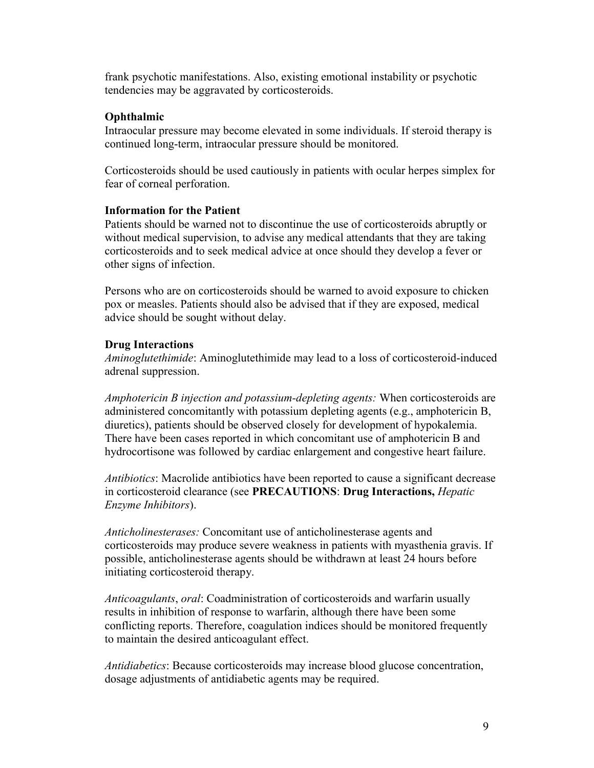frank psychotic manifestations. Also, existing emotional instability or psychotic tendencies may be aggravated by corticosteroids.

## **Ophthalmic**

Intraocular pressure may become elevated in some individuals. If steroid therapy is continued long-term, intraocular pressure should be monitored.

Corticosteroids should be used cautiously in patients with ocular herpes simplex for fear of corneal perforation.

### **Information for the Patient**

Patients should be warned not to discontinue the use of corticosteroids abruptly or without medical supervision, to advise any medical attendants that they are taking corticosteroids and to seek medical advice at once should they develop a fever or other signs of infection.

Persons who are on corticosteroids should be warned to avoid exposure to chicken pox or measles. Patients should also be advised that if they are exposed, medical advice should be sought without delay.

## **Drug Interactions**

*Aminoglutethimide*: Aminoglutethimide may lead to a loss of corticosteroid-induced adrenal suppression.

*Amphotericin B injection and potassium-depleting agents:* When corticosteroids are administered concomitantly with potassium depleting agents (e.g., amphotericin B, diuretics), patients should be observed closely for development of hypokalemia. There have been cases reported in which concomitant use of amphotericin B and hydrocortisone was followed by cardiac enlargement and congestive heart failure.

*Antibiotics*: Macrolide antibiotics have been reported to cause a significant decrease in corticosteroid clearance (see **PRECAUTIONS**: **Drug Interactions,** *Hepatic Enzyme Inhibitors*).

*Anticholinesterases:* Concomitant use of anticholinesterase agents and corticosteroids may produce severe weakness in patients with myasthenia gravis. If possible, anticholinesterase agents should be withdrawn at least 24 hours before initiating corticosteroid therapy.

*Anticoagulants*, *oral*: Coadministration of corticosteroids and warfarin usually results in inhibition of response to warfarin, although there have been some conflicting reports. Therefore, coagulation indices should be monitored frequently to maintain the desired anticoagulant effect.

*Antidiabetics*: Because corticosteroids may increase blood glucose concentration, dosage adjustments of antidiabetic agents may be required.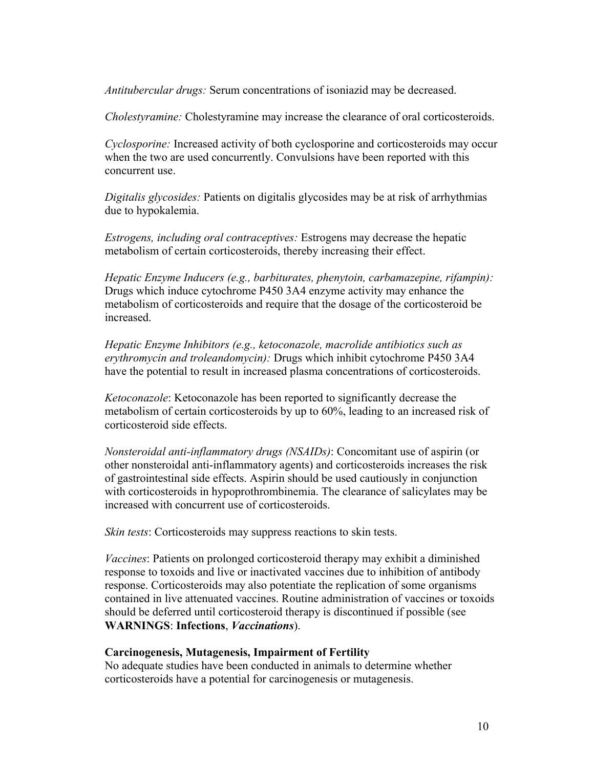*Antitubercular drugs:* Serum concentrations of isoniazid may be decreased.

*Cholestyramine:* Cholestyramine may increase the clearance of oral corticosteroids.

*Cyclosporine:* Increased activity of both cyclosporine and corticosteroids may occur when the two are used concurrently. Convulsions have been reported with this concurrent use.

*Digitalis glycosides:* Patients on digitalis glycosides may be at risk of arrhythmias due to hypokalemia.

*Estrogens, including oral contraceptives:* Estrogens may decrease the hepatic metabolism of certain corticosteroids, thereby increasing their effect.

*Hepatic Enzyme Inducers (e.g., barbiturates, phenytoin, carbamazepine, rifampin):* Drugs which induce cytochrome P450 3A4 enzyme activity may enhance the metabolism of corticosteroids and require that the dosage of the corticosteroid be increased.

*Hepatic Enzyme Inhibitors (e.g., ketoconazole, macrolide antibiotics such as erythromycin and troleandomycin):* Drugs which inhibit cytochrome P450 3A4 have the potential to result in increased plasma concentrations of corticosteroids.

*Ketoconazole*: Ketoconazole has been reported to significantly decrease the metabolism of certain corticosteroids by up to 60%, leading to an increased risk of corticosteroid side effects.

*Nonsteroidal anti-inflammatory drugs (NSAIDs)*: Concomitant use of aspirin (or other nonsteroidal anti-inflammatory agents) and corticosteroids increases the risk of gastrointestinal side effects. Aspirin should be used cautiously in conjunction with corticosteroids in hypoprothrombinemia. The clearance of salicylates may be increased with concurrent use of corticosteroids.

*Skin tests*: Corticosteroids may suppress reactions to skin tests.

*Vaccines*: Patients on prolonged corticosteroid therapy may exhibit a diminished response to toxoids and live or inactivated vaccines due to inhibition of antibody response. Corticosteroids may also potentiate the replication of some organisms contained in live attenuated vaccines. Routine administration of vaccines or toxoids should be deferred until corticosteroid therapy is discontinued if possible (see **WARNINGS**: **Infections**, *Vaccinations*).

### **Carcinogenesis, Mutagenesis, Impairment of Fertility**

No adequate studies have been conducted in animals to determine whether corticosteroids have a potential for carcinogenesis or mutagenesis.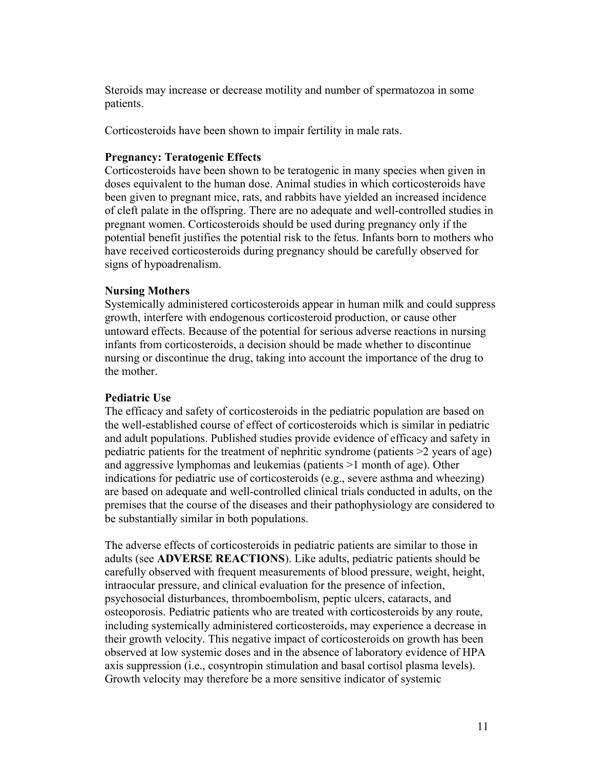Steroids may increase or decrease motility and number of spermatozoa in some patients.

Corticosteroids have been shown to impair fertility in male rats.

### **Pregnancy: Teratogenic Effects**

Corticosteroids have been shown to be teratogenic in many species when given in doses equivalent to the human dose. Animal studies in which corticosteroids have been given to pregnant mice, rats, and rabbits have yielded an increased incidence of cleft palate in the offspring. There are no adequate and well-controlled studies in pregnant women. Corticosteroids should be used during pregnancy only if the potential benefit justifies the potential risk to the fetus. Infants born to mothers who have received corticosteroids during pregnancy should be carefully observed for signs of hypoadrenalism.

#### **Nursing Mothers**

Systemically administered corticosteroids appear in human milk and could suppress growth, interfere with endogenous corticosteroid production, or cause other untoward effects. Because of the potential for serious adverse reactions in nursing infants from corticosteroids, a decision should be made whether to discontinue nursing or discontinue the drug, taking into account the importance of the drug to the mother.

#### **Pediatric Use**

The efficacy and safety of corticosteroids in the pediatric population are based on the well-established course of effect of corticosteroids which is similar in pediatric and adult populations. Published studies provide evidence of efficacy and safety in pediatric patients for the treatment of nephritic syndrome (patients >2 years of age) and aggressive lymphomas and leukemias (patients >1 month of age). Other indications for pediatric use of corticosteroids (e.g., severe asthma and wheezing) are based on adequate and well-controlled clinical trials conducted in adults, on the premises that the course of the diseases and their pathophysiology are considered to be substantially similar in both populations.

The adverse effects of corticosteroids in pediatric patients are similar to those in adults (see **ADVERSE REACTIONS**). Like adults, pediatric patients should be carefully observed with frequent measurements of blood pressure, weight, height, intraocular pressure, and clinical evaluation for the presence of infection, psychosocial disturbances, thromboembolism, peptic ulcers, cataracts, and osteoporosis. Pediatric patients who are treated with corticosteroids by any route, including systemically administered corticosteroids, may experience a decrease in their growth velocity. This negative impact of corticosteroids on growth has been observed at low systemic doses and in the absence of laboratory evidence of HPA axis suppression (i.e., cosyntropin stimulation and basal cortisol plasma levels). Growth velocity may therefore be a more sensitive indicator of systemic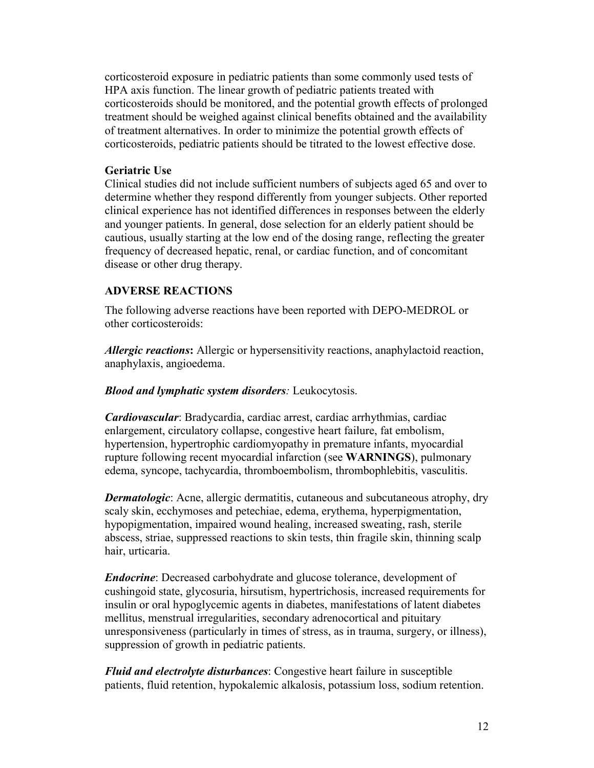corticosteroid exposure in pediatric patients than some commonly used tests of HPA axis function. The linear growth of pediatric patients treated with corticosteroids should be monitored, and the potential growth effects of prolonged treatment should be weighed against clinical benefits obtained and the availability of treatment alternatives. In order to minimize the potential growth effects of corticosteroids, pediatric patients should be titrated to the lowest effective dose.

#### **Geriatric Use**

Clinical studies did not include sufficient numbers of subjects aged 65 and over to determine whether they respond differently from younger subjects. Other reported clinical experience has not identified differences in responses between the elderly and younger patients. In general, dose selection for an elderly patient should be cautious, usually starting at the low end of the dosing range, reflecting the greater frequency of decreased hepatic, renal, or cardiac function, and of concomitant disease or other drug therapy.

#### **ADVERSE REACTIONS**

The following adverse reactions have been reported with DEPO-MEDROL or other corticosteroids:

*Allergic reactions***:** Allergic or hypersensitivity reactions, anaphylactoid reaction, anaphylaxis, angioedema.

#### *Blood and lymphatic system disorders:* Leukocytosis.

*Cardiovascular*: Bradycardia, cardiac arrest, cardiac arrhythmias, cardiac enlargement, circulatory collapse, congestive heart failure, fat embolism, hypertension, hypertrophic cardiomyopathy in premature infants, myocardial rupture following recent myocardial infarction (see **WARNINGS**), pulmonary edema, syncope, tachycardia, thromboembolism, thrombophlebitis, vasculitis.

*Dermatologic*: Acne, allergic dermatitis, cutaneous and subcutaneous atrophy, dry scaly skin, ecchymoses and petechiae, edema, erythema, hyperpigmentation, hypopigmentation, impaired wound healing, increased sweating, rash, sterile abscess, striae, suppressed reactions to skin tests, thin fragile skin, thinning scalp hair, urticaria.

*Endocrine*: Decreased carbohydrate and glucose tolerance, development of cushingoid state, glycosuria, hirsutism, hypertrichosis, increased requirements for insulin or oral hypoglycemic agents in diabetes, manifestations of latent diabetes mellitus, menstrual irregularities, secondary adrenocortical and pituitary unresponsiveness (particularly in times of stress, as in trauma, surgery, or illness), suppression of growth in pediatric patients.

*Fluid and electrolyte disturbances*: Congestive heart failure in susceptible patients, fluid retention, hypokalemic alkalosis, potassium loss, sodium retention.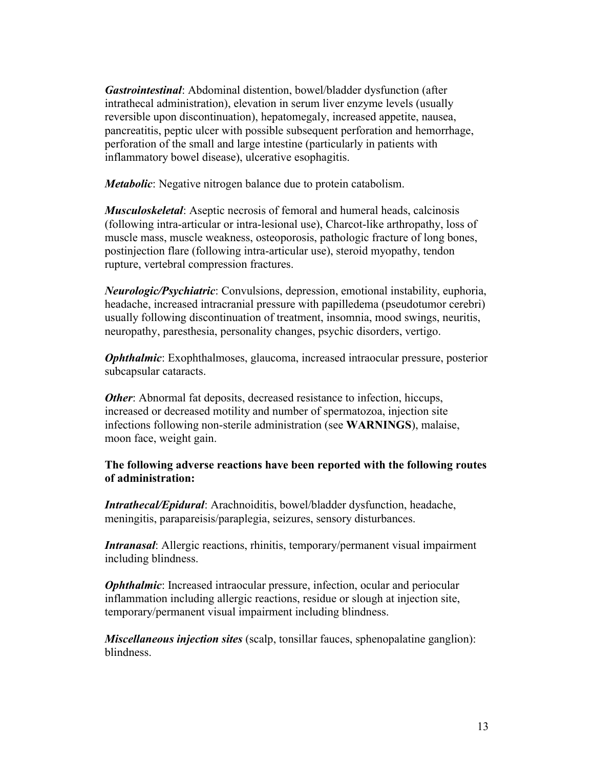*Gastrointestinal*: Abdominal distention, bowel/bladder dysfunction (after intrathecal administration), elevation in serum liver enzyme levels (usually reversible upon discontinuation), hepatomegaly, increased appetite, nausea, pancreatitis, peptic ulcer with possible subsequent perforation and hemorrhage, perforation of the small and large intestine (particularly in patients with inflammatory bowel disease), ulcerative esophagitis.

*Metabolic*: Negative nitrogen balance due to protein catabolism.

*Musculoskeletal*: Aseptic necrosis of femoral and humeral heads, calcinosis (following intra-articular or intra-lesional use), Charcot-like arthropathy, loss of muscle mass, muscle weakness, osteoporosis, pathologic fracture of long bones, postinjection flare (following intra-articular use), steroid myopathy, tendon rupture, vertebral compression fractures.

*Neurologic/Psychiatric*: Convulsions, depression, emotional instability, euphoria, headache, increased intracranial pressure with papilledema (pseudotumor cerebri) usually following discontinuation of treatment, insomnia, mood swings, neuritis, neuropathy, paresthesia, personality changes, psychic disorders, vertigo.

*Ophthalmic*: Exophthalmoses, glaucoma, increased intraocular pressure, posterior subcapsular cataracts.

*Other*: Abnormal fat deposits, decreased resistance to infection, hiccups, increased or decreased motility and number of spermatozoa, injection site infections following non-sterile administration (see **WARNINGS**), malaise, moon face, weight gain.

## **The following adverse reactions have been reported with the following routes of administration:**

*Intrathecal/Epidural*: Arachnoiditis, bowel/bladder dysfunction, headache, meningitis, parapareisis/paraplegia, seizures, sensory disturbances.

*Intranasal*: Allergic reactions, rhinitis, temporary/permanent visual impairment including blindness.

*Ophthalmic*: Increased intraocular pressure, infection, ocular and periocular inflammation including allergic reactions, residue or slough at injection site, temporary/permanent visual impairment including blindness.

*Miscellaneous injection sites* (scalp, tonsillar fauces, sphenopalatine ganglion): blindness.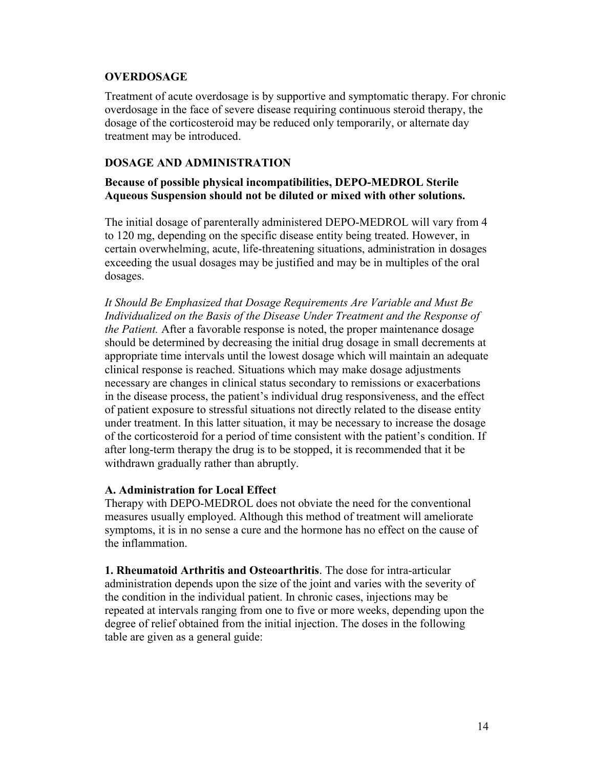## **OVERDOSAGE**

Treatment of acute overdosage is by supportive and symptomatic therapy. For chronic overdosage in the face of severe disease requiring continuous steroid therapy, the dosage of the corticosteroid may be reduced only temporarily, or alternate day treatment may be introduced.

## **DOSAGE AND ADMINISTRATION**

## **Because of possible physical incompatibilities, DEPO-MEDROL Sterile Aqueous Suspension should not be diluted or mixed with other solutions.**

The initial dosage of parenterally administered DEPO-MEDROL will vary from 4 to 120 mg, depending on the specific disease entity being treated. However, in certain overwhelming, acute, life-threatening situations, administration in dosages exceeding the usual dosages may be justified and may be in multiples of the oral dosages.

*It Should Be Emphasized that Dosage Requirements Are Variable and Must Be Individualized on the Basis of the Disease Under Treatment and the Response of the Patient.* After a favorable response is noted, the proper maintenance dosage should be determined by decreasing the initial drug dosage in small decrements at appropriate time intervals until the lowest dosage which will maintain an adequate clinical response is reached. Situations which may make dosage adjustments necessary are changes in clinical status secondary to remissions or exacerbations in the disease process, the patient's individual drug responsiveness, and the effect of patient exposure to stressful situations not directly related to the disease entity under treatment. In this latter situation, it may be necessary to increase the dosage of the corticosteroid for a period of time consistent with the patient's condition. If after long-term therapy the drug is to be stopped, it is recommended that it be withdrawn gradually rather than abruptly.

### **A. Administration for Local Effect**

Therapy with DEPO-MEDROL does not obviate the need for the conventional measures usually employed. Although this method of treatment will ameliorate symptoms, it is in no sense a cure and the hormone has no effect on the cause of the inflammation.

**1. Rheumatoid Arthritis and Osteoarthritis**. The dose for intra-articular administration depends upon the size of the joint and varies with the severity of the condition in the individual patient. In chronic cases, injections may be repeated at intervals ranging from one to five or more weeks, depending upon the degree of relief obtained from the initial injection. The doses in the following table are given as a general guide: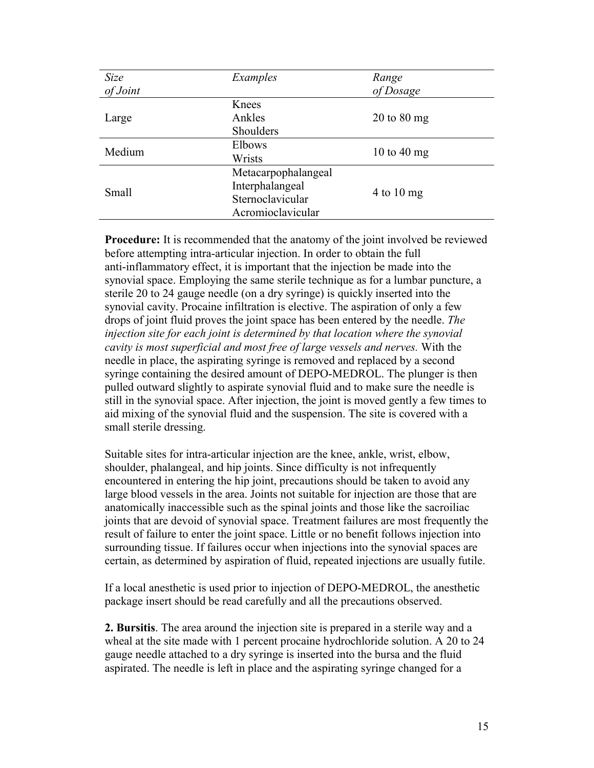| Size     | Examples            | Range                          |  |
|----------|---------------------|--------------------------------|--|
| of Joint |                     | of Dosage                      |  |
|          | Knees               |                                |  |
| Large    | Ankles              | $20 \text{ to } 80 \text{ mg}$ |  |
|          | Shoulders           |                                |  |
| Medium   | Elbows              | 10 to 40 mg                    |  |
|          | Wrists              |                                |  |
|          | Metacarpophalangeal |                                |  |
| Small    | Interphalangeal     | $4$ to $10$ mg                 |  |
|          | Sternoclavicular    |                                |  |
|          | Acromioclavicular   |                                |  |

**Procedure:** It is recommended that the anatomy of the joint involved be reviewed before attempting intra-articular injection. In order to obtain the full anti-inflammatory effect, it is important that the injection be made into the synovial space. Employing the same sterile technique as for a lumbar puncture, a sterile 20 to 24 gauge needle (on a dry syringe) is quickly inserted into the synovial cavity. Procaine infiltration is elective. The aspiration of only a few drops of joint fluid proves the joint space has been entered by the needle. *The injection site for each joint is determined by that location where the synovial cavity is most superficial and most free of large vessels and nerves.* With the needle in place, the aspirating syringe is removed and replaced by a second syringe containing the desired amount of DEPO-MEDROL. The plunger is then pulled outward slightly to aspirate synovial fluid and to make sure the needle is still in the synovial space. After injection, the joint is moved gently a few times to aid mixing of the synovial fluid and the suspension. The site is covered with a small sterile dressing.

Suitable sites for intra-articular injection are the knee, ankle, wrist, elbow, shoulder, phalangeal, and hip joints. Since difficulty is not infrequently encountered in entering the hip joint, precautions should be taken to avoid any large blood vessels in the area. Joints not suitable for injection are those that are anatomically inaccessible such as the spinal joints and those like the sacroiliac joints that are devoid of synovial space. Treatment failures are most frequently the result of failure to enter the joint space. Little or no benefit follows injection into surrounding tissue. If failures occur when injections into the synovial spaces are certain, as determined by aspiration of fluid, repeated injections are usually futile.

If a local anesthetic is used prior to injection of DEPO-MEDROL, the anesthetic package insert should be read carefully and all the precautions observed.

**2. Bursitis**. The area around the injection site is prepared in a sterile way and a wheal at the site made with 1 percent procaine hydrochloride solution. A 20 to 24 gauge needle attached to a dry syringe is inserted into the bursa and the fluid aspirated. The needle is left in place and the aspirating syringe changed for a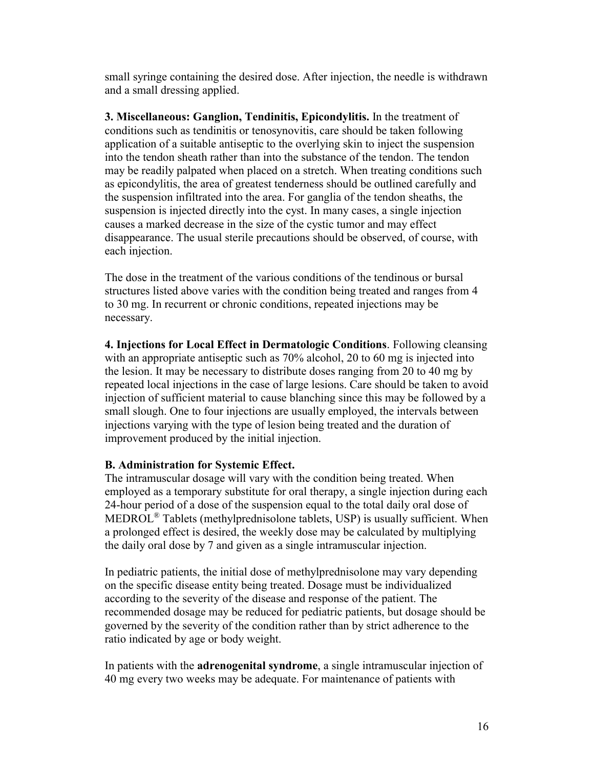small syringe containing the desired dose. After injection, the needle is withdrawn and a small dressing applied.

**3. Miscellaneous: Ganglion, Tendinitis, Epicondylitis.** In the treatment of conditions such as tendinitis or tenosynovitis, care should be taken following application of a suitable antiseptic to the overlying skin to inject the suspension into the tendon sheath rather than into the substance of the tendon. The tendon may be readily palpated when placed on a stretch. When treating conditions such as epicondylitis, the area of greatest tenderness should be outlined carefully and the suspension infiltrated into the area. For ganglia of the tendon sheaths, the suspension is injected directly into the cyst. In many cases, a single injection causes a marked decrease in the size of the cystic tumor and may effect disappearance. The usual sterile precautions should be observed, of course, with each injection.

The dose in the treatment of the various conditions of the tendinous or bursal structures listed above varies with the condition being treated and ranges from 4 to 30 mg. In recurrent or chronic conditions, repeated injections may be necessary.

**4. Injections for Local Effect in Dermatologic Conditions**. Following cleansing with an appropriate antiseptic such as 70% alcohol, 20 to 60 mg is injected into the lesion. It may be necessary to distribute doses ranging from 20 to 40 mg by repeated local injections in the case of large lesions. Care should be taken to avoid injection of sufficient material to cause blanching since this may be followed by a small slough. One to four injections are usually employed, the intervals between injections varying with the type of lesion being treated and the duration of improvement produced by the initial injection.

### **B. Administration for Systemic Effect.**

The intramuscular dosage will vary with the condition being treated. When employed as a temporary substitute for oral therapy, a single injection during each 24-hour period of a dose of the suspension equal to the total daily oral dose of MEDROL® Tablets (methylprednisolone tablets, USP) is usually sufficient. When a prolonged effect is desired, the weekly dose may be calculated by multiplying the daily oral dose by 7 and given as a single intramuscular injection.

In pediatric patients, the initial dose of methylprednisolone may vary depending on the specific disease entity being treated. Dosage must be individualized according to the severity of the disease and response of the patient. The recommended dosage may be reduced for pediatric patients, but dosage should be governed by the severity of the condition rather than by strict adherence to the ratio indicated by age or body weight.

In patients with the **adrenogenital syndrome**, a single intramuscular injection of 40 mg every two weeks may be adequate. For maintenance of patients with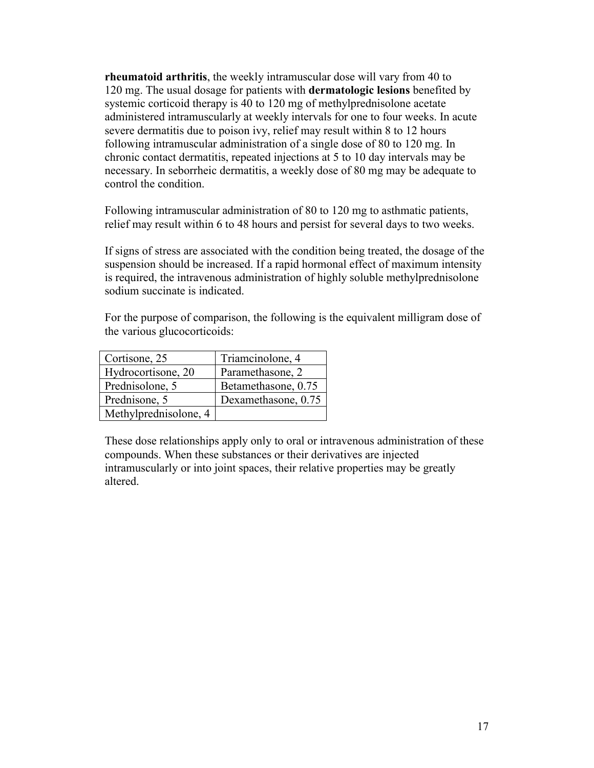**rheumatoid arthritis**, the weekly intramuscular dose will vary from 40 to 120 mg. The usual dosage for patients with **dermatologic lesions** benefited by systemic corticoid therapy is 40 to 120 mg of methylprednisolone acetate administered intramuscularly at weekly intervals for one to four weeks. In acute severe dermatitis due to poison ivy, relief may result within 8 to 12 hours following intramuscular administration of a single dose of 80 to 120 mg. In chronic contact dermatitis, repeated injections at 5 to 10 day intervals may be necessary. In seborrheic dermatitis, a weekly dose of 80 mg may be adequate to control the condition.

Following intramuscular administration of 80 to 120 mg to asthmatic patients, relief may result within 6 to 48 hours and persist for several days to two weeks.

If signs of stress are associated with the condition being treated, the dosage of the suspension should be increased. If a rapid hormonal effect of maximum intensity is required, the intravenous administration of highly soluble methylprednisolone sodium succinate is indicated.

For the purpose of comparison, the following is the equivalent milligram dose of the various glucocorticoids:

| Cortisone, 25         | Triamcinolone, 4    |
|-----------------------|---------------------|
| Hydrocortisone, 20    | Paramethasone, 2    |
| Prednisolone, 5       | Betamethasone, 0.75 |
| Prednisone, 5         | Dexamethasone, 0.75 |
| Methylprednisolone, 4 |                     |

These dose relationships apply only to oral or intravenous administration of these compounds. When these substances or their derivatives are injected intramuscularly or into joint spaces, their relative properties may be greatly altered.